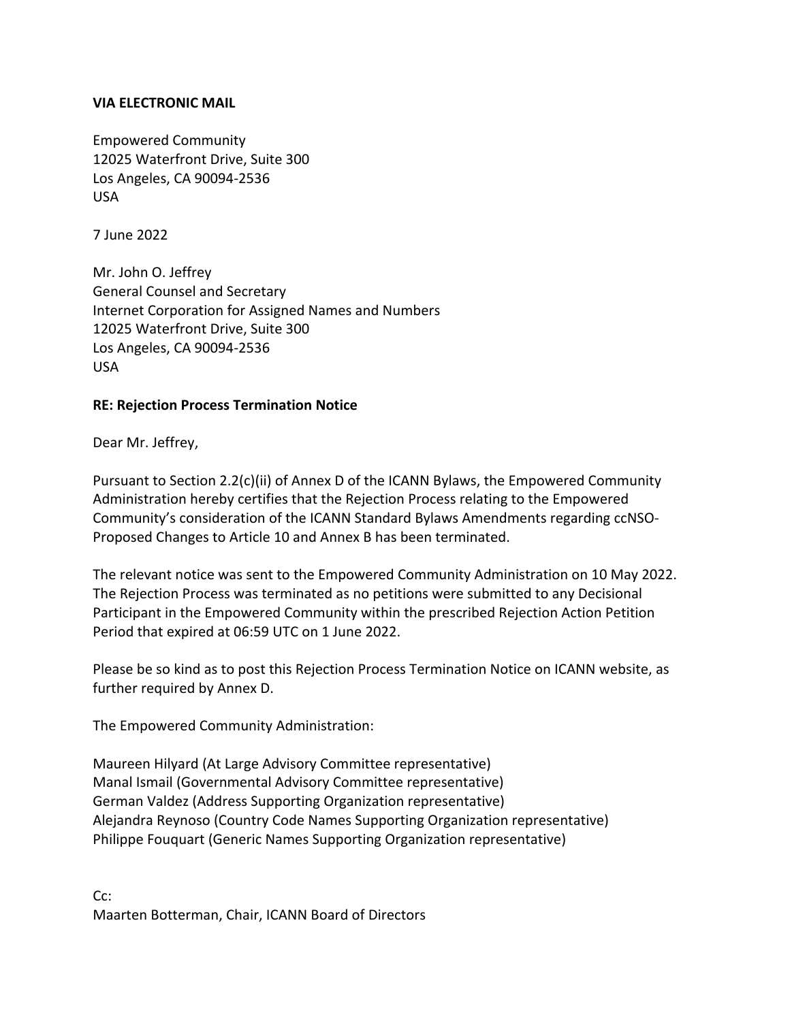## **VIA ELECTRONIC MAIL**

Empowered Community 12025 Waterfront Drive, Suite 300 Los Angeles, CA 90094-2536 USA

7 June 2022

Mr. John O. Jeffrey General Counsel and Secretary Internet Corporation for Assigned Names and Numbers 12025 Waterfront Drive, Suite 300 Los Angeles, CA 90094-2536 USA

## **RE: Rejection Process Termination Notice**

Dear Mr. Jeffrey,

Pursuant to Section 2.2(c)(ii) of Annex D of the ICANN Bylaws, the Empowered Community Administration hereby certifies that the Rejection Process relating to the Empowered Community's consideration of the ICANN Standard Bylaws Amendments regarding ccNSO-Proposed Changes to Article 10 and Annex B has been terminated.

The relevant notice was sent to the Empowered Community Administration on 10 May 2022. The Rejection Process was terminated as no petitions were submitted to any Decisional Participant in the Empowered Community within the prescribed Rejection Action Petition Period that expired at 06:59 UTC on 1 June 2022.

Please be so kind as to post this Rejection Process Termination Notice on ICANN website, as further required by Annex D.

The Empowered Community Administration:

Maureen Hilyard (At Large Advisory Committee representative) Manal Ismail (Governmental Advisory Committee representative) German Valdez (Address Supporting Organization representative) Alejandra Reynoso (Country Code Names Supporting Organization representative) Philippe Fouquart (Generic Names Supporting Organization representative)

Cc: Maarten Botterman, Chair, ICANN Board of Directors